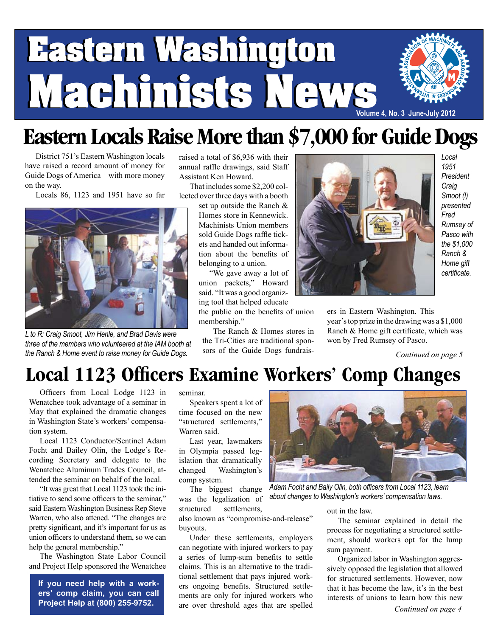# **Eastern Washington Eastern Washington Machinists News Machinists News Volume 4, No. 3 June-July 2012**

## **Eastern Locals Raise More than \$7,000 for Guide Dogs**

District 751's Eastern Washington locals have raised a record amount of money for Guide Dogs of America – with more money on the way.

Locals 86, 1123 and 1951 have so far



*L to R: Craig Smoot, Jim Henle, and Brad Davis were three of the members who volunteered at the IAM booth at the Ranch & Home event to raise money for Guide Dogs.*

raised a total of \$6,936 with their annual raffle drawings, said Staff Assistant Ken Howard.

That includes some \$2,200 collected over three days with a booth

set up outside the Ranch & Homes store in Kennewick. Machinists Union members sold Guide Dogs raffle tickets and handed out information about the benefits of belonging to a union.

"We gave away a lot of union packets," Howard said. "It was a good organizing tool that helped educate

the public on the benefits of union membership."

The Ranch & Homes stores in the Tri-Cities are traditional sponsors of the Guide Dogs fundrais-



*Local 1951 President Craig Smoot (l) presented Fred Rumsey of Pasco with the \$1,000 Ranch & Home gift certificate.*

ers in Eastern Washington. This year's top prize in the drawing was a \$1,000 Ranch & Home gift certificate, which was won by Fred Rumsey of Pasco.

*Continued on page 5*

### **Local 1123 Officers Examine Workers' Comp Changes**

Officers from Local Lodge 1123 in Wenatchee took advantage of a seminar in May that explained the dramatic changes in Washington State's workers' compensation system.

Local 1123 Conductor/Sentinel Adam Focht and Bailey Olin, the Lodge's Recording Secretary and delegate to the Wenatchee Aluminum Trades Council, attended the seminar on behalf of the local.

"It was great that Local 1123 took the initiative to send some officers to the seminar," said Eastern Washington Business Rep Steve Warren, who also attened. "The changes are pretty significant, and it's important for us as union officers to understand them, so we can help the general membership."

The Washington State Labor Council and Project Help sponsored the Wenatchee

**If you need help with a workers' comp claim, you can call Project Help at (800) 255-9752.**

seminar.

Speakers spent a lot of time focused on the new "structured settlements," Warren said.

Last year, lawmakers in Olympia passed legislation that dramatically changed Washington's comp system.

The biggest change was the legalization of structured settlements,

also known as "compromise-and-release" buyouts.

Under these settlements, employers can negotiate with injured workers to pay a series of lump-sum benefits to settle claims. This is an alternative to the traditional settlement that pays injured workers ongoing benefits. Structured settlements are only for injured workers who are over threshold ages that are spelled



*Adam Focht and Baily Olin, both officers from Local 1123, learn about changes to Washington's workers' compensation laws.*

out in the law.

The seminar explained in detail the process for negotiating a structured settlement, should workers opt for the lump sum payment.

Organized labor in Washington aggressively opposed the legislation that allowed for structured settlements. However, now that it has become the law, it's in the best interests of unions to learn how this new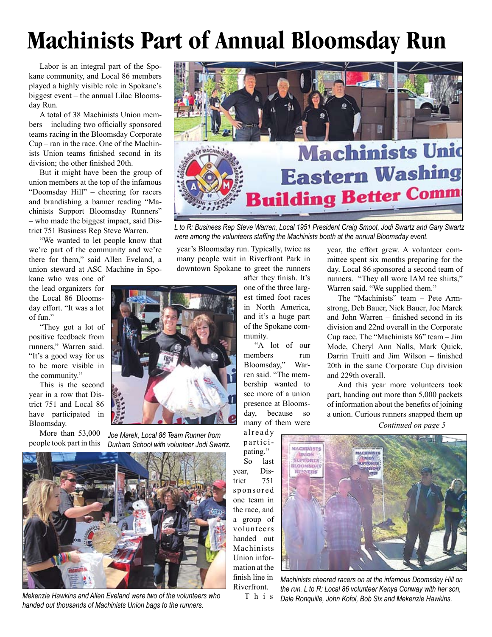## **Machinists Part of Annual Bloomsday Run**

Labor is an integral part of the Spokane community, and Local 86 members played a highly visible role in Spokane's biggest event – the annual Lilac Bloomsday Run.

A total of 38 Machinists Union members – including two officially sponsored teams racing in the Bloomsday Corporate Cup – ran in the race. One of the Machinists Union teams finished second in its division; the other finished 20th.

But it might have been the group of union members at the top of the infamous "Doomsday Hill" – cheering for racers and brandishing a banner reading "Machinists Support Bloomsday Runners" – who made the biggest impact, said District 751 Business Rep Steve Warren.

"We wanted to let people know that we're part of the community and we're there for them," said Allen Eveland, a union steward at ASC Machine in Spo-

kane who was one of the lead organizers for the Local 86 Bloomsday effort. "It was a lot of fun."

"They got a lot of positive feedback from runners," Warren said. "It's a good way for us to be more visible in the community."

This is the second year in a row that District 751 and Local 86 have participated in Bloomsday.

More than 53,000 people took part in this



*Joe Marek, Local 86 Team Runner from Durham School with volunteer Jodi Swartz.*



*Mekenzie Hawkins and Allen Eveland were two of the volunteers who handed out thousands of Machinists Union bags to the runners.*



*L to R: Business Rep Steve Warren, Local 1951 President Craig Smoot, Jodi Swartz and Gary Swartz were among the volunteers staffing the Machinists booth at the annual Bloomsday event.*

year's Bloomsday run. Typically, twice as many people wait in Riverfront Park in downtown Spokane to greet the runners

> after they finish. It's one of the three largest timed foot races in North America, and it's a huge part of the Spokane community.

"A lot of our members run Bloomsday," Warren said. "The membership wanted to see more of a union presence at Bloomsday, because so many of them were

already participating." So last year, District 751 sponsored one team in the race, and a group of volunteers handed out Machinists Union information at the finish line in Riverfront.

year, the effort grew. A volunteer committee spent six months preparing for the day. Local 86 sponsored a second team of runners. "They all wore IAM tee shirts," Warren said. "We supplied them."

The "Machinists" team – Pete Armstrong, Deb Bauer, Nick Bauer, Joe Marek and John Warren – finished second in its division and 22nd overall in the Corporate Cup race. The "Machinists 86" team – Jim Mode, Cheryl Ann Nalls, Mark Quick, Darrin Truitt and Jim Wilson – finished 20th in the same Corporate Cup division and 229th overall.

And this year more volunteers took part, handing out more than 5,000 packets of information about the benefits of joining a union. Curious runners snapped them up

*Continued on page 5*



T h i s *Machinists cheered racers on at the infamous Doomsday Hill on the run. L to R: Local 86 volunteer Kenya Conway with her son, Dale Ronquille, John Kofol, Bob Six and Mekenzie Hawkins.*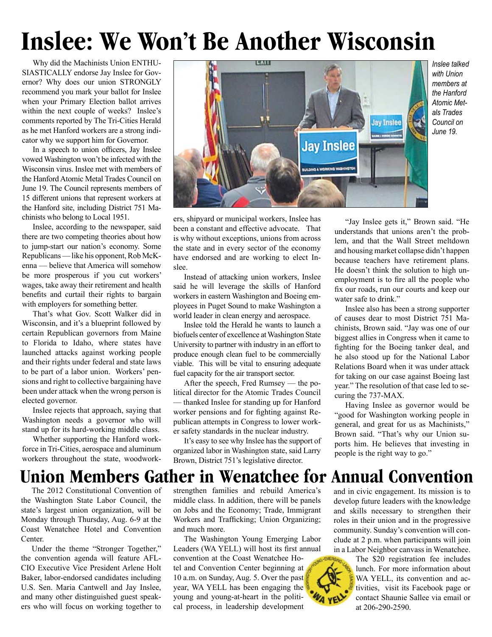## **Inslee: We Won't Be Another Wisconsin**

Why did the Machinists Union ENTHU-SIASTICALLY endorse Jay Inslee for Governor? Why does our union STRONGLY recommend you mark your ballot for Inslee when your Primary Election ballot arrives within the next couple of weeks? Inslee's comments reported by The Tri-Cities Herald as he met Hanford workers are a strong indicator why we support him for Governor.

In a speech to union officers, Jay Inslee vowed Washington won't be infected with the Wisconsin virus. Inslee met with members of the Hanford Atomic Metal Trades Council on June 19. The Council represents members of 15 different unions that represent workers at the Hanford site, including District 751 Machinists who belong to Local 1951.

Inslee, according to the newspaper, said there are two competing theories about how to jump-start our nation's economy. Some Republicans — like his opponent, Rob McKenna — believe that America will somehow be more prosperous if you cut workers' wages, take away their retirement and health benefits and curtail their rights to bargain with employers for something better.

That's what Gov. Scott Walker did in Wisconsin, and it's a blueprint followed by certain Republican governors from Maine to Florida to Idaho, where states have launched attacks against working people and their rights under federal and state laws to be part of a labor union. Workers' pensions and right to collective bargaining have been under attack when the wrong person is elected governor.

Inslee rejects that approach, saying that Washington needs a governor who will stand up for its hard-working middle class.

Whether supporting the Hanford workforce in Tri-Cities, aerospace and aluminum workers throughout the state, woodwork-



*Inslee talked with Union members at the Hanford Atomic Metals Trades Council on June 19.*

ers, shipyard or municipal workers, Inslee has been a constant and effective advocate. That is why without exceptions, unions from across the state and in every sector of the economy have endorsed and are working to elect Inslee.

Instead of attacking union workers, Inslee said he will leverage the skills of Hanford workers in eastern Washington and Boeing employees in Puget Sound to make Washington a world leader in clean energy and aerospace.

Inslee told the Herald he wants to launch a biofuels center of excellence at Washington State University to partner with industry in an effort to produce enough clean fuel to be commercially viable. This will be vital to ensuring adequate fuel capacity for the air transport sector.

After the speech, Fred Rumsey — the political director for the Atomic Trades Council — thanked Inslee for standing up for Hanford worker pensions and for fighting against Republican attempts in Congress to lower worker safety standards in the nuclear industry.

It's easy to see why Inslee has the support of organized labor in Washington state, said Larry Brown, District 751's legislative director.

"Jay Inslee gets it," Brown said. "He understands that unions aren't the problem, and that the Wall Street meltdown and housing market collapse didn't happen because teachers have retirement plans. He doesn't think the solution to high unemployment is to fire all the people who fix our roads, run our courts and keep our water safe to drink."

Inslee also has been a strong supporter of causes dear to most District 751 Machinists, Brown said. "Jay was one of our biggest allies in Congress when it came to fighting for the Boeing tanker deal, and he also stood up for the National Labor Relations Board when it was under attack for taking on our case against Boeing last year." The resolution of that case led to securing the 737-MAX.

Having Inslee as governor would be "good for Washington working people in general, and great for us as Machinists," Brown said. "That's why our Union suports him. He believes that investing in people is the right way to go."

### **Union Members Gather in Wenatchee for Annual Convention**

The 2012 Constitutional Convention of the Washington State Labor Council, the state's largest union organization, will be Monday through Thursday, Aug. 6-9 at the Coast Wenatchee Hotel and Convention Center.

Under the theme "Stronger Together," the convention agenda will feature AFL-CIO Executive Vice President Arlene Holt Baker, labor-endorsed candidates including U.S. Sen. Maria Cantwell and Jay Inslee, and many other distinguished guest speakers who will focus on working together to strengthen families and rebuild America's middle class. In addition, there will be panels on Jobs and the Economy; Trade, Immigrant Workers and Trafficking; Union Organizing; and much more.

The Washington Young Emerging Labor Leaders (WA YELL) will host its first annual convention at the Coast Wenatchee Hotel and Convention Center beginning at 10 a.m. on Sunday, Aug. 5. Over the past year, WA YELL has been engaging the young and young-at-heart in the political process, in leadership development

and in civic engagement. Its mission is to develop future leaders with the knowledge and skills necessary to strengthen their roles in their union and in the progressive community. Sunday's convention will conclude at 2 p.m. when participants will join in a Labor Neighbor canvass in Wenatchee.

> The \$20 registration fee includes lunch. For more information about WA YELL, its convention and activities, visit its Facebook page or contact Shaunie Sallee via email or at 206-290-2590.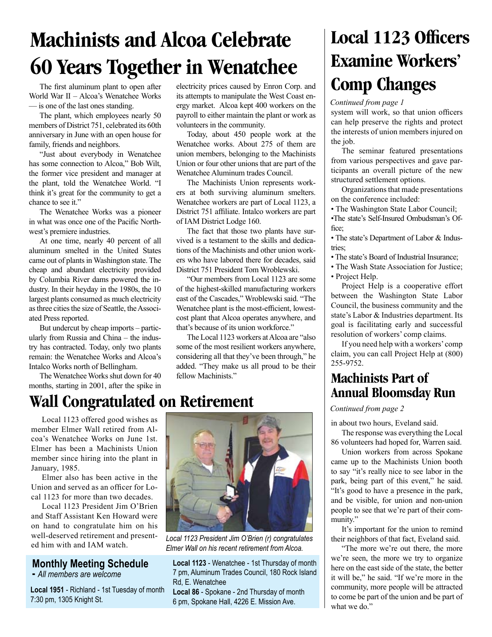## **Machinists and Alcoa Celebrate 60 Years Together in Wenatchee**

The first aluminum plant to open after World War II – Alcoa's Wenatchee Works — is one of the last ones standing.

The plant, which employees nearly 50 members of District 751, celebrated its 60th anniversary in June with an open house for family, friends and neighbors.

"Just about everybody in Wenatchee has some connection to Alcoa," Bob Wilt, the former vice president and manager at the plant, told the Wenatchee World. "I think it's great for the community to get a chance to see it."

The Wenatchee Works was a pioneer in what was once one of the Pacific Northwest's premiere industries.

At one time, nearly 40 percent of all aluminum smelted in the United States came out of plants in Washington state. The cheap and abundant electricity provided by Columbia River dams powered the industry. In their heyday in the 1980s, the 10 largest plants consumed as much electricity as three cities the size of Seattle, the Associated Press reported.

But undercut by cheap imports – particularly from Russia and China – the industry has contracted. Today, only two plants remain: the Wenatchee Works and Alcoa's Intalco Works north of Bellingham.

The Wenatchee Works shut down for 40 months, starting in 2001, after the spike in

electricity prices caused by Enron Corp. and its attempts to manipulate the West Coast energy market. Alcoa kept 400 workers on the payroll to either maintain the plant or work as volunteers in the community.

Today, about 450 people work at the Wenatchee works. About 275 of them are union members, belonging to the Machinists Union or four other unions that are part of the Wenatchee Aluminum trades Council.

The Machinists Union represents workers at both surviving aluminum smelters. Wenatchee workers are part of Local 1123, a District 751 affiliate. Intalco workers are part of IAM District Lodge 160.

The fact that those two plants have survived is a testament to the skills and dedications of the Machinists and other union workers who have labored there for decades, said District 751 President Tom Wroblewski.

"Our members from Local 1123 are some of the highest-skilled manufacturing workers east of the Cascades," Wroblewski said. "The Wenatchee plant is the most-efficient, lowestcost plant that Alcoa operates anywhere, and that's because of its union workforce."

The Local 1123 workers at Alcoa are "also some of the most resilient workers anywhere, considering all that they've been through," he added. "They make us all proud to be their fellow Machinists."

### **Wall Congratulated on Retirement**

Local 1123 offered good wishes as member Elmer Wall retired from Alcoa's Wenatchee Works on June 1st. Elmer has been a Machinists Union member since hiring into the plant in January, 1985.

Elmer also has been active in the Union and served as an officer for Local 1123 for more than two decades.

Local 1123 President Jim O'Brien and Staff Assistant Ken Howard were on hand to congratulate him on his well-deserved retirement and presented him with and IAM watch.

#### **Monthly Meeting Schedule**

**-** *All members are welcome*

**Local 1951** - Richland - 1st Tuesday of month 7:30 pm, 1305 Knight St.



*Local 1123 President Jim O'Brien (r) congratulates Elmer Wall on his recent retirement from Alcoa.*

**Local 1123** - Wenatchee - 1st Thursday of month 7 pm, Aluminum Trades Council, 180 Rock Island Rd, E. Wenatchee

**Local 86** - Spokane - 2nd Thursday of month 6 pm, Spokane Hall, 4226 E. Mission Ave.

## **Local 1123 Officers Examine Workers' Comp Changes**

*Continued from page 1*

system will work, so that union officers can help preserve the rights and protect the interests of union members injured on the job.

The seminar featured presentations from various perspectives and gave participants an overall picture of the new structured settlement options.

Organizations that made presentations on the conference included:

• The Washington State Labor Council; •The state's Self-Insured Ombudsman's Office;

• The state's Department of Labor & Industries;

• The state's Board of Industrial Insurance;

• The Wash State Association for Justice; • Project Help.

Project Help is a cooperative effort between the Washington State Labor Council, the business community and the state's Labor & Industries department. Its goal is facilitating early and successful resolution of workers' comp claims.

If you need help with a workers' comp claim, you can call Project Help at (800) 255-9752.

### **Machinists Part of Annual Bloomsday Run**

#### *Continued from page 2*

in about two hours, Eveland said.

The response was everything the Local 86 volunteers had hoped for, Warren said.

Union workers from across Spokane came up to the Machinists Union booth to say "it's really nice to see labor in the park, being part of this event," he said. "It's good to have a presence in the park, and be visible, for union and non-union people to see that we're part of their community."

It's important for the union to remind their neighbors of that fact, Eveland said.

"The more we're out there, the more we're seen, the more we try to organize here on the east side of the state, the better it will be," he said. "If we're more in the community, more people will be attracted to come be part of the union and be part of what we do."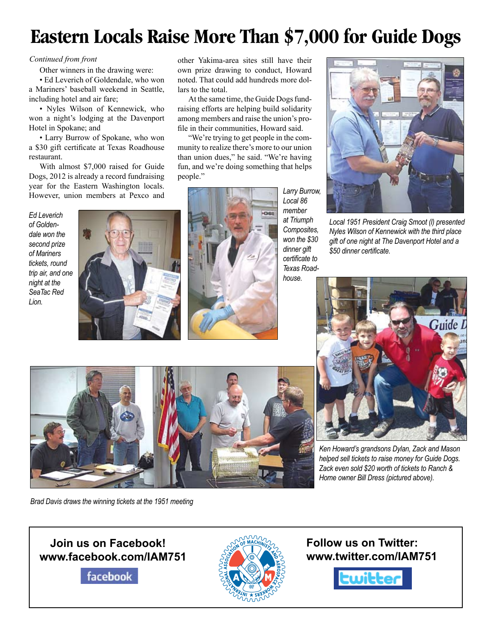## **Eastern Locals Raise More Than \$7,000 for Guide Dogs**

#### *Continued from front*

Other winners in the drawing were:

• Ed Leverich of Goldendale, who won a Mariners' baseball weekend in Seattle, including hotel and air fare;

• Nyles Wilson of Kennewick, who won a night's lodging at the Davenport Hotel in Spokane; and

• Larry Burrow of Spokane, who won a \$30 gift certificate at Texas Roadhouse restaurant.

With almost \$7,000 raised for Guide Dogs, 2012 is already a record fundraising year for the Eastern Washington locals. However, union members at Pexco and

*Ed Leverich of Goldendale won the second prize of Mariners tickets, round trip air, and one night at the SeaTac Red Lion.*



other Yakima-area sites still have their own prize drawing to conduct, Howard noted. That could add hundreds more dollars to the total.

At the same time, the Guide Dogs fundraising efforts are helping build solidarity among members and raise the union's profile in their communities, Howard said.

"We're trying to get people in the community to realize there's more to our union than union dues," he said. "We're having fun, and we're doing something that helps people."



*Larry Burrow, Local 86 member at Triumph Composites, won the \$30 dinner gift certificate to Texas Roadhouse.*



*Local 1951 President Craig Smoot (l) presented Nyles Wilson of Kennewick with the third place gift of one night at The Davenport Hotel and a \$50 dinner certificate.*



*Ken Howard's grandsons Dylan, Zack and Mason helped sell tickets to raise money for Guide Dogs. Zack even sold \$20 worth of tickets to Ranch & Home owner Bill Dress (pictured above).*

*Brad Davis draws the winning tickets at the 1951 meeting*

### **Join us on Facebook! www.facebook.com/IAM751**

facebook



**Follow us on Twitter: www.twitter.com/IAM751**